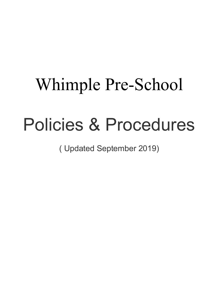# Whimple Pre-School

# Policies & Procedures

( Updated September 2019)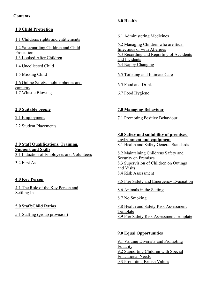#### **Contents**

#### **1.0 Child Protection**

1.1 Childrens rights and entitlements

1.2 Safeguarding Children and Child Protection 1.3 Looked After Children

1.4 Uncollected Child

1.5 Missing Child

1.6 Online Safety, mobile phones and cameras 1.7 Whistle Blowing

#### **2.0 Suitable people**

2.1 Employment

2.2 Student Placements

**3.0 Staff Qualifications, Training, Support and Skills** 3.1 Induction of Employees and Volunteers

3.2 First Aid

### **4.0 Key Person**

4.1 The Role of the Key Person and Settling In

### **5.0 Staff:Child Ratios**

5.1 Staffing (group provision)

## **6.0 Health**

6.1 Administering Medicines

6.2 Managing Children who are Sick, Infectious or with Allergies 6.3 Recording and Reporting of Accidents and Incidents 6.4 Nappy Changing

6.5 Toileting and Intimate Care

6.5 Food and Drink

6.7 Food Hygiene

### **7.0 Managing Behaviour**

7.1 Promoting Positive Behaviour

#### **8.0 Safety and suitability of premises, environment and equipment** 8.1 Health and Safety General Standards

8.2 Maintaining Childrens Safety and Security on Premises 8.3 Supervision of Children on Outings and Visits 8.4 Risk Assessment

8.5 Fire Safety and Emergency Evacuation

8.6 Animals in the Setting

8.7 No Smoking

8.8 Health and Safety Risk Assessment Template 8.9 Fire Safety Risk Assessment Template

# **9.0 Equal Opportunities**

9.1 Valuing Diversity and Promoting Equality 9.2 Supporting Children with Special Educational Needs 9.3 Promoting British Values